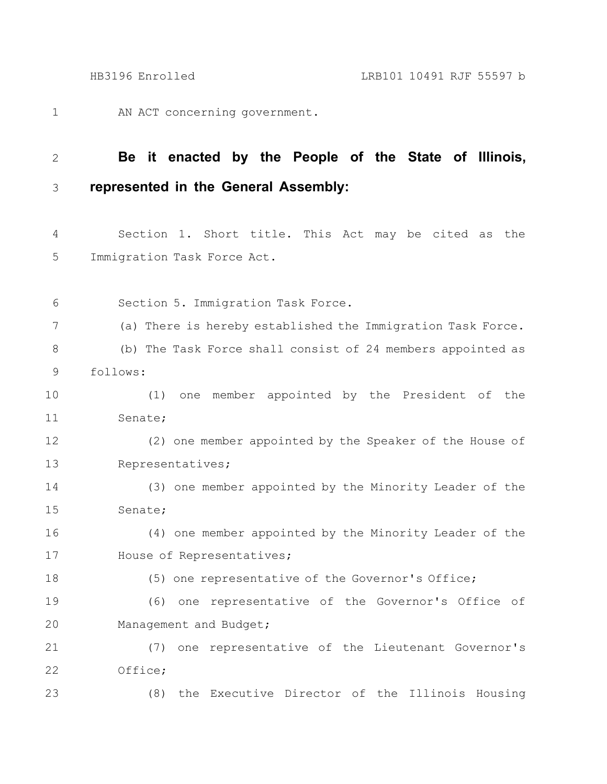AN ACT concerning government. 1

## **Be it enacted by the People of the State of Illinois, represented in the General Assembly:** 2 3

Section 1. Short title. This Act may be cited as the Immigration Task Force Act. 4 5

Section 5. Immigration Task Force. (a) There is hereby established the Immigration Task Force. (b) The Task Force shall consist of 24 members appointed as follows: (1) one member appointed by the President of the Senate; (2) one member appointed by the Speaker of the House of Representatives; (3) one member appointed by the Minority Leader of the Senate; (4) one member appointed by the Minority Leader of the House of Representatives; (5) one representative of the Governor's Office; (6) one representative of the Governor's Office of Management and Budget; (7) one representative of the Lieutenant Governor's Office; (8) the Executive Director of the Illinois Housing 6 7 8 9 10 11 12 13 14 15 16 17 18 19 20 21 22 23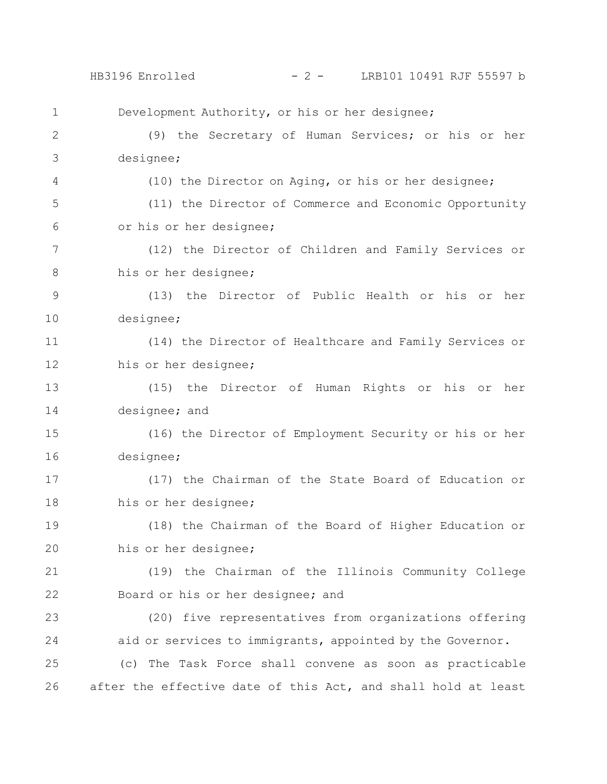Development Authority, or his or her designee; (9) the Secretary of Human Services; or his or her designee; (10) the Director on Aging, or his or her designee; (11) the Director of Commerce and Economic Opportunity or his or her designee; (12) the Director of Children and Family Services or his or her designee; (13) the Director of Public Health or his or her designee; (14) the Director of Healthcare and Family Services or his or her designee; (15) the Director of Human Rights or his or her designee; and (16) the Director of Employment Security or his or her designee; (17) the Chairman of the State Board of Education or his or her designee; (18) the Chairman of the Board of Higher Education or his or her designee; (19) the Chairman of the Illinois Community College Board or his or her designee; and (20) five representatives from organizations offering aid or services to immigrants, appointed by the Governor. (c) The Task Force shall convene as soon as practicable after the effective date of this Act, and shall hold at least 1 2 3 4 5 6 7 8 9 10 11 12 13 14 15 16 17 18 19 20 21 22 23 24 25 26 HB3196 Enrolled - 2 - LRB101 10491 RJF 55597 b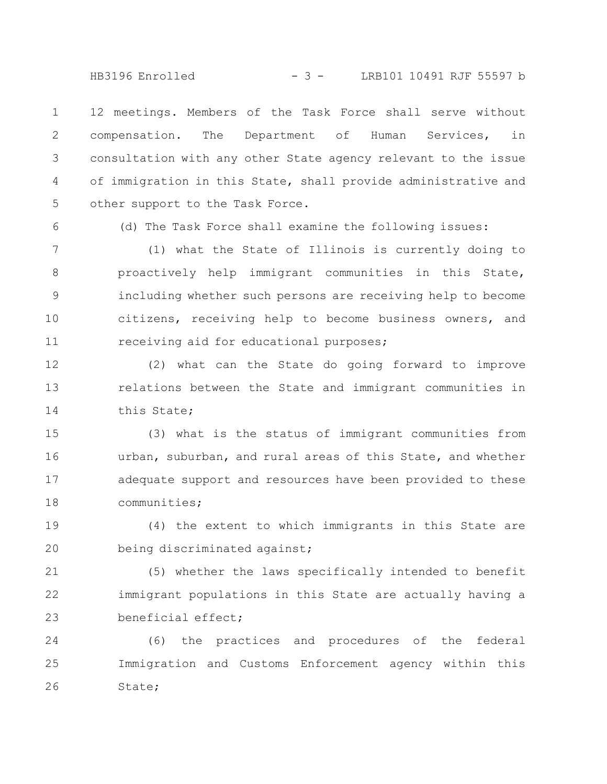HB3196 Enrolled - 3 - LRB101 10491 RJF 55597 b

12 meetings. Members of the Task Force shall serve without compensation. The Department of Human Services, in consultation with any other State agency relevant to the issue of immigration in this State, shall provide administrative and other support to the Task Force. 1 2 3 4 5

6

(d) The Task Force shall examine the following issues:

(1) what the State of Illinois is currently doing to proactively help immigrant communities in this State, including whether such persons are receiving help to become citizens, receiving help to become business owners, and receiving aid for educational purposes; 7 8 9 10 11

(2) what can the State do going forward to improve relations between the State and immigrant communities in this State; 12 13 14

(3) what is the status of immigrant communities from urban, suburban, and rural areas of this State, and whether adequate support and resources have been provided to these communities; 15 16 17 18

(4) the extent to which immigrants in this State are being discriminated against; 19 20

(5) whether the laws specifically intended to benefit immigrant populations in this State are actually having a beneficial effect; 21 22 23

(6) the practices and procedures of the federal Immigration and Customs Enforcement agency within this State; 24 25 26